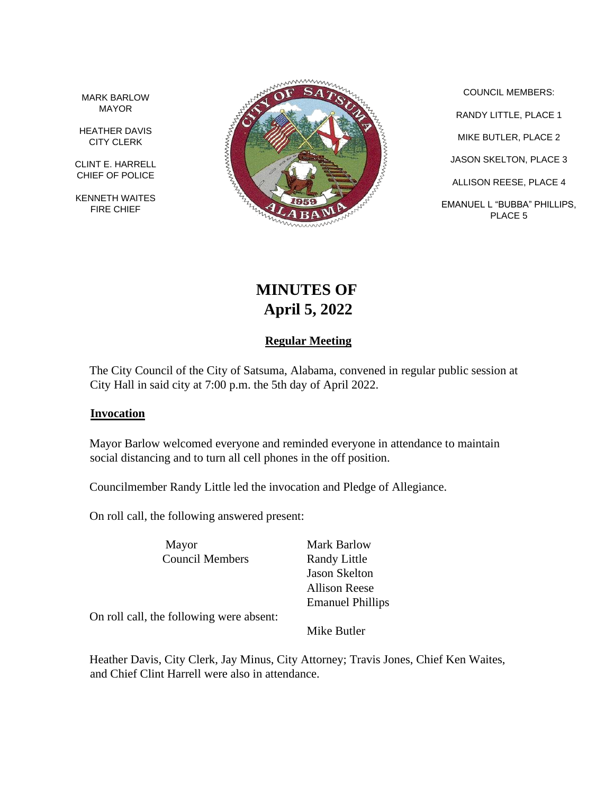MARK BARLOW MAYOR

HEATHER DAVIS CITY CLERK

CLINT E. HARRELL CHIEF OF POLICE

KENNETH WAITES FIRE CHIEF



COUNCIL MEMBERS: RANDY LITTLE, PLACE 1 MIKE BUTLER, PLACE 2 JASON SKELTON, PLACE 3 ALLISON REESE, PLACE 4 EMANUEL L "BUBBA" PHILLIPS, PLACE 5

# **MINUTES OF April 5, 2022**

## **Regular Meeting**

The City Council of the City of Satsuma, Alabama, convened in regular public session at City Hall in said city at 7:00 p.m. the 5th day of April 2022.

#### **Invocation**

Mayor Barlow welcomed everyone and reminded everyone in attendance to maintain social distancing and to turn all cell phones in the off position.

Councilmember Randy Little led the invocation and Pledge of Allegiance.

On roll call, the following answered present:

Mayor Mark Barlow Council Members Randy Little

Jason Skelton Allison Reese Emanuel Phillips

On roll call, the following were absent:

Mike Butler

Heather Davis, City Clerk, Jay Minus, City Attorney; Travis Jones, Chief Ken Waites, and Chief Clint Harrell were also in attendance.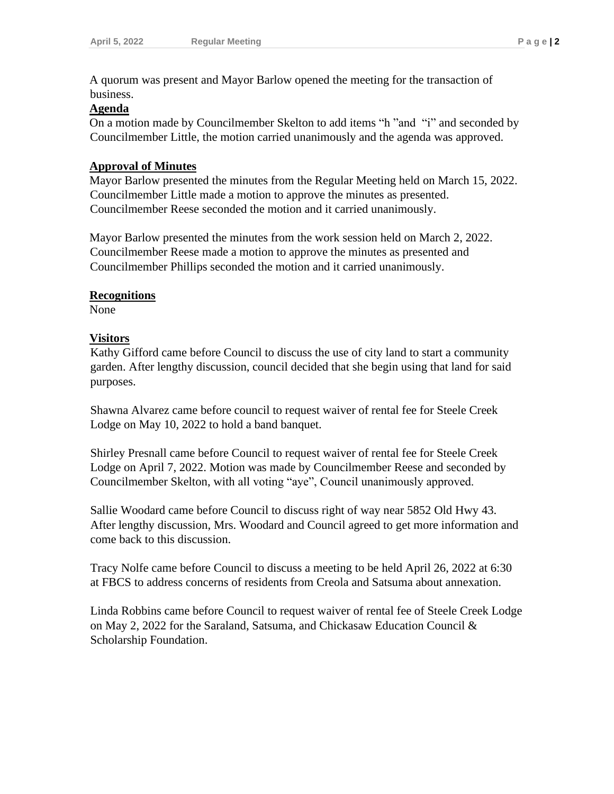A quorum was present and Mayor Barlow opened the meeting for the transaction of business.

#### **Agenda**

On a motion made by Councilmember Skelton to add items "h "and "i" and seconded by Councilmember Little, the motion carried unanimously and the agenda was approved.

#### **Approval of Minutes**

Mayor Barlow presented the minutes from the Regular Meeting held on March 15, 2022. Councilmember Little made a motion to approve the minutes as presented. Councilmember Reese seconded the motion and it carried unanimously.

Mayor Barlow presented the minutes from the work session held on March 2, 2022. Councilmember Reese made a motion to approve the minutes as presented and Councilmember Phillips seconded the motion and it carried unanimously.

#### **Recognitions**

None

#### **Visitors**

Kathy Gifford came before Council to discuss the use of city land to start a community garden. After lengthy discussion, council decided that she begin using that land for said purposes.

Shawna Alvarez came before council to request waiver of rental fee for Steele Creek Lodge on May 10, 2022 to hold a band banquet.

Shirley Presnall came before Council to request waiver of rental fee for Steele Creek Lodge on April 7, 2022. Motion was made by Councilmember Reese and seconded by Councilmember Skelton, with all voting "aye", Council unanimously approved.

Sallie Woodard came before Council to discuss right of way near 5852 Old Hwy 43. After lengthy discussion, Mrs. Woodard and Council agreed to get more information and come back to this discussion.

Tracy Nolfe came before Council to discuss a meeting to be held April 26, 2022 at 6:30 at FBCS to address concerns of residents from Creola and Satsuma about annexation.

Linda Robbins came before Council to request waiver of rental fee of Steele Creek Lodge on May 2, 2022 for the Saraland, Satsuma, and Chickasaw Education Council & Scholarship Foundation.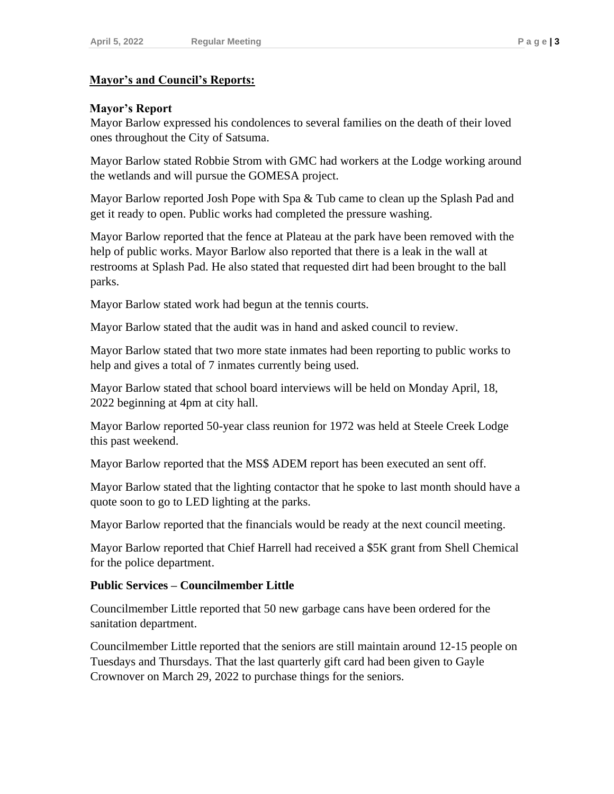#### **Mayor's and Council's Reports:**

## **Mayor's Report**

Mayor Barlow expressed his condolences to several families on the death of their loved ones throughout the City of Satsuma.

Mayor Barlow stated Robbie Strom with GMC had workers at the Lodge working around the wetlands and will pursue the GOMESA project.

Mayor Barlow reported Josh Pope with Spa & Tub came to clean up the Splash Pad and get it ready to open. Public works had completed the pressure washing.

Mayor Barlow reported that the fence at Plateau at the park have been removed with the help of public works. Mayor Barlow also reported that there is a leak in the wall at restrooms at Splash Pad. He also stated that requested dirt had been brought to the ball parks.

Mayor Barlow stated work had begun at the tennis courts.

Mayor Barlow stated that the audit was in hand and asked council to review.

Mayor Barlow stated that two more state inmates had been reporting to public works to help and gives a total of 7 inmates currently being used.

Mayor Barlow stated that school board interviews will be held on Monday April, 18, 2022 beginning at 4pm at city hall.

Mayor Barlow reported 50-year class reunion for 1972 was held at Steele Creek Lodge this past weekend.

Mayor Barlow reported that the MS\$ ADEM report has been executed an sent off.

Mayor Barlow stated that the lighting contactor that he spoke to last month should have a quote soon to go to LED lighting at the parks.

Mayor Barlow reported that the financials would be ready at the next council meeting.

Mayor Barlow reported that Chief Harrell had received a \$5K grant from Shell Chemical for the police department.

## **Public Services – Councilmember Little**

Councilmember Little reported that 50 new garbage cans have been ordered for the sanitation department.

Councilmember Little reported that the seniors are still maintain around 12-15 people on Tuesdays and Thursdays. That the last quarterly gift card had been given to Gayle Crownover on March 29, 2022 to purchase things for the seniors.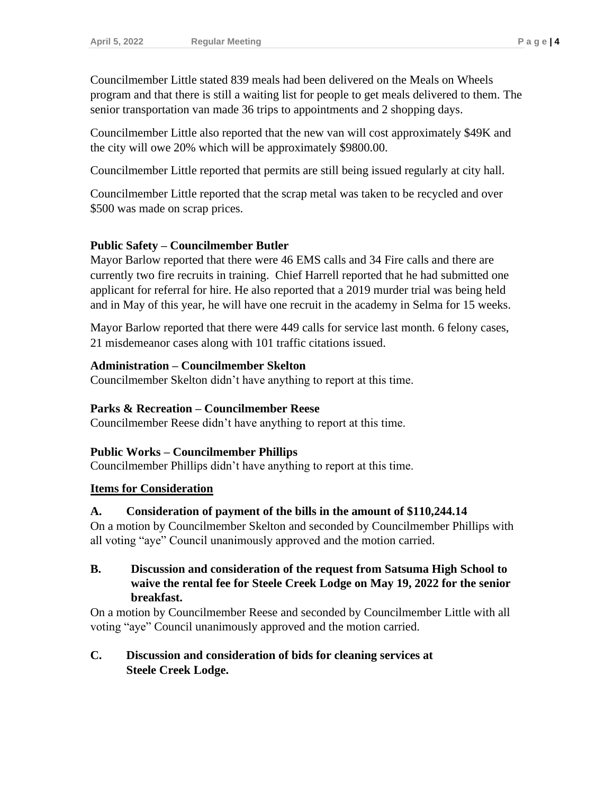Councilmember Little stated 839 meals had been delivered on the Meals on Wheels program and that there is still a waiting list for people to get meals delivered to them. The senior transportation van made 36 trips to appointments and 2 shopping days.

Councilmember Little also reported that the new van will cost approximately \$49K and the city will owe 20% which will be approximately \$9800.00.

Councilmember Little reported that permits are still being issued regularly at city hall.

Councilmember Little reported that the scrap metal was taken to be recycled and over \$500 was made on scrap prices.

### **Public Safety – Councilmember Butler**

Mayor Barlow reported that there were 46 EMS calls and 34 Fire calls and there are currently two fire recruits in training. Chief Harrell reported that he had submitted one applicant for referral for hire. He also reported that a 2019 murder trial was being held and in May of this year, he will have one recruit in the academy in Selma for 15 weeks.

Mayor Barlow reported that there were 449 calls for service last month. 6 felony cases, 21 misdemeanor cases along with 101 traffic citations issued.

#### **Administration – Councilmember Skelton**

Councilmember Skelton didn't have anything to report at this time.

#### **Parks & Recreation – Councilmember Reese**

Councilmember Reese didn't have anything to report at this time.

#### **Public Works – Councilmember Phillips**

Councilmember Phillips didn't have anything to report at this time.

#### **Items for Consideration**

#### **A. Consideration of payment of the bills in the amount of \$110,244.14**

On a motion by Councilmember Skelton and seconded by Councilmember Phillips with all voting "aye" Council unanimously approved and the motion carried.

## **B. Discussion and consideration of the request from Satsuma High School to waive the rental fee for Steele Creek Lodge on May 19, 2022 for the senior breakfast.**

On a motion by Councilmember Reese and seconded by Councilmember Little with all voting "aye" Council unanimously approved and the motion carried.

## **C. Discussion and consideration of bids for cleaning services at Steele Creek Lodge.**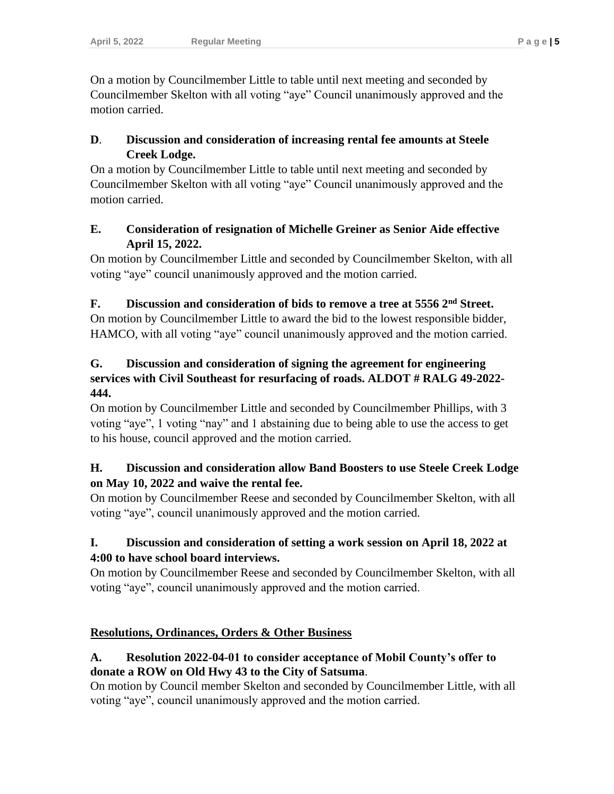On a motion by Councilmember Little to table until next meeting and seconded by Councilmember Skelton with all voting "aye" Council unanimously approved and the motion carried.

## **D**. **Discussion and consideration of increasing rental fee amounts at Steele Creek Lodge.**

On a motion by Councilmember Little to table until next meeting and seconded by Councilmember Skelton with all voting "aye" Council unanimously approved and the motion carried.

## **E. Consideration of resignation of Michelle Greiner as Senior Aide effective April 15, 2022.**

On motion by Councilmember Little and seconded by Councilmember Skelton, with all voting "aye" council unanimously approved and the motion carried.

## **F. Discussion and consideration of bids to remove a tree at 5556 2nd Street.**

On motion by Councilmember Little to award the bid to the lowest responsible bidder, HAMCO, with all voting "aye" council unanimously approved and the motion carried.

## **G. Discussion and consideration of signing the agreement for engineering services with Civil Southeast for resurfacing of roads. ALDOT # RALG 49-2022- 444.**

On motion by Councilmember Little and seconded by Councilmember Phillips, with 3 voting "aye", 1 voting "nay" and 1 abstaining due to being able to use the access to get to his house, council approved and the motion carried.

## **H. Discussion and consideration allow Band Boosters to use Steele Creek Lodge on May 10, 2022 and waive the rental fee.**

On motion by Councilmember Reese and seconded by Councilmember Skelton, with all voting "aye", council unanimously approved and the motion carried.

# **I. Discussion and consideration of setting a work session on April 18, 2022 at 4:00 to have school board interviews.**

On motion by Councilmember Reese and seconded by Councilmember Skelton, with all voting "aye", council unanimously approved and the motion carried.

# **Resolutions, Ordinances, Orders & Other Business**

## **A. Resolution 2022-04-01 to consider acceptance of Mobil County's offer to donate a ROW on Old Hwy 43 to the City of Satsuma**.

On motion by Council member Skelton and seconded by Councilmember Little, with all voting "aye", council unanimously approved and the motion carried.